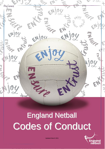

# England Netball Codes of Conduct



Updated March 2021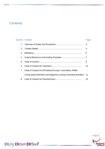## **Contents**

|               | <b>Section: Content</b>                                      | Page |
|---------------|--------------------------------------------------------------|------|
| 1             |                                                              | 3    |
| $\mathcal{P}$ |                                                              | 4    |
| 3             |                                                              | 5    |
| 4             |                                                              |      |
| 5             |                                                              | 8    |
| 6             |                                                              | 10   |
| 7             | Code of Conduct for EN National Groups, Committees, RMBs,    |      |
|               | County Board Members and Regional & County Committee Members | 11   |
| 8             |                                                              | 13   |



ENjoy EN sure EN trust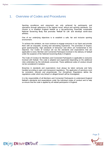## 1. Overview of Codes and Procedures

ENjoy EN sure EN trust

Sporting excellence and enjoyment are only achieved by participants and spectators through adherence to the highest moral, ethical and sporting standards. Our mission is to establish England Netball as a top-performing, financially sustainable National Governing Body that promotes 'Netball for Life' and develops world-class athletes.

One of our underlying objectives is to establish a safe, fair and inclusive sporting environment.

To achieve this ambition, we must continue to engage everyone in our Sport and provide them with an enjoyable, exciting and stimulating experience. The promotion of respect, good sportsmanship, high standards of behaviour and ethics are fundamental to this objective. Our Codes of Conduct set out the standards and expectations that are applicable to every Member and Connected Participant involved in the delivery of Netball under the auspices of the National Governing Body in England.

The Code of Conduct for Members and Connected Participants is applicable to everyone involved with Netball. This code is adapted and augmented depending on the additional roles undertaken by the individuals concerned. These additional codes of conduct should not be considered in isolation.

Breaches in standards and expectations must always be taken seriously and fairly handled according to open and transparent regulations. The application of sanctions must be consistent, relevant and proportionate. Our *Disciplinary Regulations* define the regulations under which any breach or alleged breach will be investigated.

It is the responsibility of all Members and Connected Participants to understand England Netball's standards and expectations under the individual codes of conduct and to help us ensure that the code is applied by all netball participants in England.

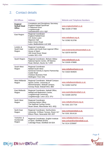# 2. Contact details

| <b>EN Offices</b>                                      | <b>Address</b>                                                                                                                                                            | <b>Website and Telephone Numbers</b>                                               |
|--------------------------------------------------------|---------------------------------------------------------------------------------------------------------------------------------------------------------------------------|------------------------------------------------------------------------------------|
| <b>England</b><br><b>Netball Head</b><br><b>Office</b> | <b>Complaints and Disciplinary Secretary</b><br><b>England Netball SportPark</b><br>3 Oakwood Drive<br>Loughborough<br>Leicestershire LE11 3QF                            | www.englandnetball.co.uk<br>Tel: 01509 277850                                      |
| East Region                                            | <b>Regional Coordinator</b><br><b>England Netball East</b><br>C/C Active Luton<br><b>Wigmore Hall</b><br>Eaton Green Road<br>Luton, Bedfordshire LU2 9JB                  | www.netballeast.org.uk<br>Tel: 01582 813766                                        |
| London &<br>South East<br>Region                       | Regional Coordinator<br>London and South East regional Office<br>House of Sport<br>190 Great Dover Street<br>London SE1 4YB                                               | www.londonandsoutheastnetball.co.uk<br>Tel: 02079 934709                           |
| South Region                                           | Regional Coordinator, Bisham Abbey<br>National Sports Centre, Off Marlow<br>Road, Bisham, Bucks SL7 1RR                                                                   | www.netballsouth.co.uk<br>Tel: 01628 478985                                        |
| South West<br>Region                                   | <b>Regional Coordinator</b><br><b>Netball South West</b><br>Somerset Activity & Sports Partnership<br>Castle Road<br><b>Chelston Business Park</b><br>Wellington TA21 9JQ | www.netballsouthwest.co.uk<br>Tel: 01823 664825                                    |
| <b>West Midlands</b><br>Region                         | Regional Coordinator, Walsall Campus<br>Sports Centre, University of<br>Wolverhampton, Walsall Campus,<br>Gorway Road, Walsall WS1 3BD                                    | www.netballwestmidlands.co.uk<br>Tel: 01902 518752                                 |
| East Midlands<br>Region                                | Regional Coordinator, Netball Office,<br>Netball and Badminton Centre,<br>Loughborough University,<br>Loughborough, Leics LE11 3TU                                        | www.eastmidlandsnetball.co.uk<br>Tel: 01509 226753                                 |
| North West<br>Region                                   | <b>Regional Coordinator</b><br>Coaching Admin Office<br>The National Cycling Centre<br>Stuart Street, Manchester M11 4DQ                                                  | www.netballnorthwest.org.uk<br>Tel: 0161 223 7724                                  |
| North East<br>Region                                   | Regional Coordinator, Northumbria<br>University, 5 Ellison Terrace, Room 317<br>Ellison Place, Newcastle NE1 8ST                                                          | www.northeastnetball.co.uk<br>Tel: 0191 2614116                                    |
| Yorkshire &<br>Humberside<br>Region                    | Regional Coordinator, English Institute<br>of Sport, Sheffield (EISS)<br>Coleridge Road, Sheffield S9 5DA                                                                 | www.netballyorkshire.co.uk<br>www.yorksandhumbernetball.co.uk<br>Tel: 0114 2235697 |



EN joy EN sure EN trust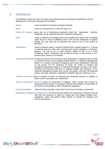## 3. Definitions

ENjoy EN sure EN trust

The definitions within the Code of Conduct are consistent with the Disciplinary Regulations; with the following terms having the meanings set out below:

- **Board** means the Board of Directors of England Netball.
- **Child** means an individual who is under the age of 14.
- **Codes of Conduct** means the set of behavioural standards which the Appropriate Authority establishes as the expected minimum standards of behaviour.
- **Club** means a collection of individuals that come together from time to time as Netball Clubs and as a result of affiliating some or all of those individuals to England Netball, the club itself will be admitted from time to time by the Board as Members**.**
- **Competition** means occasions where a number of teams/Clubs compete together in a formal or informal structure, often with a winning team and/or relegation or promotion aspects. This can be for a social purpose, played for fun or of a more competitive nature. Competition can be held at a home or away venue, or at a central venue, festival or tournament.
- **Connected Participant** means any person who from time to time participates in netball by way of being a volunteer serving on the England Netball Board or a Regional Management Board, or a County Committee or Regional and County Associations' technical or sub groups. For the avoidance of doubt, the Codes of Conduct and Disciplinary Regulations apply to Connected Participants involved in the Sport, including Non-Executive Directors of England Netball and Members of the Regional Management Board and County Association and their technical/sub groups, and other volunteers, regardless of whether they are a Member or not.
- **Conflict of Interest** means a situation in which an individual has competing interests or loyalties or there may be a perception of or actual bias.
- **County Association (County)** means an association of leagues, Clubs, groups and schools as determined by the Board in accordance with the Memorandum of Association or the Articles of Association or other Membership regulations.
- **County Committee** means the lead committee under which the County Association is governed.
- **Disciplinary Regulations (Regulations)** the document that defines the Disciplinary Procedure that will deal with any breaches or failure to comply with any England Netball rules, regulations, codes and policies either directly or through the Regional and County Associations.

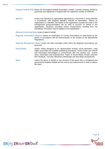**England Netball (EN)** means the All England Netball Association Limited, a private company limited by guarantee and registered in England with the registered number of 1698144.

- **Member** means any individual or organisation appointed as a Personal or Group Member in accordance with England Netball's Articles of Association. Where an organisation is a Member, the leader of the organisation (usually the Chair of the management group/committee) will be held to account on behalf of the organisation; Sanctions (including Interim Suspensions) resulting from the Disciplinary Procedure may be applied to the organisation.
- **National Governing Body** means England Netball.
- **Regional Association (Region)** means an association of County Associations as determined by the Board, in accordance with the Memorandum or the Articles or the Membership Regulations.
- **Regional Management Board** means the lead committee under which the Regional Associations are governed.
- **Social Media** means media designed to be disseminated through social interaction, using highly accessible and scalable publishing techniques. Social media use internet and web-based technologies to communicate with one another and receive news, information and entertainment. Types of Social Media include networks like Facebook, YouTube, Blackberry Messenger and also blogs and podcasts.
- **Sport** means the game of netball or any versions of the game that is recognised and governed by England Netball and the end-to-end requirements in order to deliver the Sport.

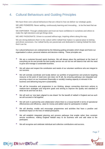## <span id="page-6-0"></span>4. Cultural Behaviours and Guiding Principles

We have three core cultural behaviours that are critical to how we deliver our strategic goals;

WE ARE PIONEERS: Never settling, continuously learning and innovating… to be the best that we can be.

WE EMPOWER: Through collaboration and trust we have confidence in ourselves and others to make the right decisions and get things done.

WE ARE PASSIONATE: Driven to succeed without ego, inspiring others along the way.

We are strong believers that it is the culture within netball that makes it a special place to belong and drives successes. Our netball family are passionate and dedicated to making Netball the best that it can be.

Our cultural behaviours are underpinned by the following guiding principles which shape and frame our organisation's culture, personal relations and decision-making. These principles are:

- We are a customer-focused sports business. We will always place the participant at the heart of everything we do and provide the best quality service we can but we will balance that with the need to grow and manage a sustainable business.
- We will value and respect the contribution and needs of our volunteer workforce who are integral to our success.
- We will centrally coordinate and locally deliver our portfolio of programmes and products targeting resource at the point of need (one size does not fit all). By ensuring pathways are integrated and securing a return on our investment (financially or socially) creating capacity to reinvest in the business and delivering long-term sustainability.
- We will be innovative and progressive in our thinking, always connecting short-term actions to medium-term strategies and long-term goals and striving to improve the quality and standard of what we do and how we do it.
- We will work as 'one team aligned to one dream' for the benefit of netball in England and as such we will succeed or fail together.
- We will work in partnership and collaboration where there is a mutual benefit in terms of operational effectiveness and efficiency, value for money and added value for participants innetball.
- We will develop, enable and encourage programmes and activities that have a positive and beneficial impact on the lives of netball participants.
- We will establish integrated planning and process pathways that enable rather than constrain service excellence, making England Netball easy to do business with and add value to the participant.
- We will recognise and celebrate individual and collective contributions and success.

Page 7



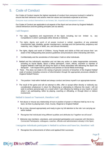## <span id="page-7-0"></span>5. Code of Conduct

Our Codes of Conduct require the highest standards of conduct from everyone involved in netball to ensure that their behaviour and actions meet the values and standards expected at all times.

Everyone must conduct themselves in an honest, fair, impartial and transparent manner.

Our Codes of Conduct are applicable to all aspects of the Sport and are driven by England Netball's cultural behaviours and the guiding principles (set out above).

#### I will Respect:

ENjoy EN sure EN trust

- The rules, regulations and requirements of the Sport, including, but not limited to, any Competitions in which I participate either directly or indirectly
- The rights, dignity and worth of all people involved in netball, regardless of any protected characteristic (age, disability, gender reassignment, marriage and civil partnership, pregnancy and maternity, race, religion or belief, sex, and sexual orientation)
- The rights, dignity and worth of Children, Young People and Adults at Risk and ensure that I am aware of the Safeguarding best practice guidelines and procedures when interacting with them.
- Confidentiality and the sensitivities of information I hold on other individuals.
- Netball and the individual's reputation and not take any action or make inappropriate comments, including on Social Media, about a fellow participant, coach, official, volunteer or member of England Netball's staff that will bring the Sport or those associated with delivering the Sport into disrepute\*. I will respect EN's guidance and policies on Social Media technology.
- *\*Note - This does not relate to the raising of genuine concerns of breaches of the England Netball code of conduct including concerns of discrimination through the appropriate processes detailed in England Netball Policies.*
- The position I hold within Netball and always conduct and dress myself in an appropriate manner.
- The result of the game and will not attempt to offer, offer or accept either directly or indirectly any consideration whatsoever in return for influencing or attempting to influence the result. I will not seek to achieve personal gain on a result which I can influence by betting on any match or event where I am participating, either by playing, coaching or officiating, or through direct or indirect involvement.

#### Netball is based on Teamwork, therefore I will:

- Not abuse or misuse any relationship of trust or position of power or influence held by me in my team, be that my playing team, Club, County, Regional or England Netball
- Be on time, dressed appropriately and ready to give my full attention to the role I am carrying out within Netball
- Recognise that individuals bring different qualities and attributes but "together we will excel".
- Welcome new members, volunteers, and connected participation and cooperate with Members, Connected Participants, colleagues, coaches, officials and administrators already in the Sport.

#### I recognise individuals participate in Netball to achieve and have fun, therefore I will:

Recognise the achievements of others and applaud their successes

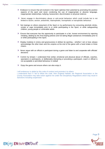- Endeavor to ensure that all involved in the Sport optimise their potential by promoting the positive aspects of the sport and never condoning the use of inappropriate or abusive language, inappropriate relationships, bullying, harassment, discrimination or physical violence.
- Never engage in discriminatory abuse or anti-social behaviour which could include but is not limited to racism, sexism, antisemitic, Islamophobic, homophobic or transphobic behaviour.
- Not impinge on others enjoyment of the Sport or my performance by consuming alcoholic drinks, smoke or vape immediately prior to or while participating in the Sport, or while safeguarding children, young people or vulnerable adults
- Ensure that everyone has the opportunity to participate in a fair, honest environment by rejecting cheating, abiding by the Anti-Doping policies and not taking illegal substances immediately prior to or while participating in the Sport.
- ▶ Display modesty in victory and graciousness in defeat; be sporting whether I win or lose; always acknowledge the other team and the umpires at the end of the game with a hand shake or three cheers.
- Never argue with an official or participant during a game and listen to and cooperate with officials' decisions
- Control my temper; I understand that verbal, emotional and physical abuse of officials, coaches, spectators or participants, or deliberately distracting or provoking a participant, coach or official is not acceptable or permitted behaviour in netball
- Enjoy the game and ensure others can also enjoy it.

I will endeavour to abide by this code of conduct and promote it to others. I understand that if I fail to follow the code, then England Netball, the Regional Association or the County Association may take action against me under the Disciplinary Regulations which may result in Sanctions including suspension.

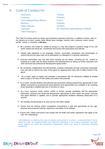### 6. Code of Conduct for:

| Assessors,                         |
|------------------------------------|
| Coaches,                           |
| <b>Club Safeguarding Officers,</b> |
| Mentors,                           |
| <b>Table Officials,</b>            |
| Teachers,                          |
| <b>Team Managers,</b>              |
|                                    |

Testers, Trainers, Tutors, Umpires, Verifiers, All Volunteers participating in Netball

The Code of Conduct state the values and standards expected at all times. In addition to these, when in my capacity as a coach, umpire, table official, team manager, teacher, tutor, assessor, tester, trainer, verifier, mentor or volunteer, **I will also:**

- Be a positive role model for netball by acting in a way that projects a positive image of my role within netball and being fair, considerate and honest with participants and officials
- Display high standards in my language, manner, punctuality, preparation and presentation to ensure that all time spent with me by participants or colleagues is a positive experience
- Exercise reasonable care and skill when carrying out my duties, including but not limited to keeping up to date with the latest practices and developments by taking up further education and other personal and professional development opportunities
- Be consistent, independent and demonstrate complete impartiality through exercising reasonable care and skill to enforce the rules of the game by applying them fairly and to effect control of the game
- As a coach, seek to inspire and motivate in accordance with an individual's abilities to enable them to play to the best of their ability and realise their potential
- As a coach, provide athletes with planned and structured training programmes appropriate to their abilities and goals by ensuring that equal attention and opportunities are available to all, including those requiring a modified plan due to sickness or injury
- As a tutor, assessor, tester, trainer, verifier or mentor, provide candidates with the appropriate information, planned and structured programmes appropriate to their needs and goals, ensuring that equal attention is applied, and to provide appropriate feedback following observation of a session
- Be mentally and physically fit to carry out my role within netball

**ENjoy ENsure EN trust** 

- Ensure that the training and/or Competition environment is safe and appropriate for the age, physical and emotional maturity, experience and ability of the athletes
- Ensure that I follow instructions and comply with all health and safety regulations that apply to the role I am undertaking.

I will endeavour to abide by this code of conduct and promote it to others. I understand that if I fail to follow the code, the England Netball, the Regional Association or the County Association may take action against me under the Disciplinary Regulations which may result in Sanctions including suspension.

Page 10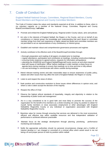## 7. Code of Conduct for:

#### England Netball National Groups, Committees, Regional Board Members, County Board Members and Regional and County Committee Members

The Code of Conduct states the values and standards expected at all time. In addition to these, when in my voluntary capacity as a member of the National Group, Committee, Regional and County Board/Committee/Group, **I will also:**

- Promote and embed the England Netball group, Regional and/or County values, aims and policies
- Act only in the interests of England Netball, the Region or the County, and not on behalf of any constituency or interest group; the knowledge and understanding that each Board or committee member brings from their own experience is highly valued but Board and committee members are not permitted to act as representatives of any constituency or interest group
- Establish and maintain robust and comprehensive governance processes and regimes
- Actively contribute to the effective work of the Board/Group/Committee through:
	- thorough preparation and reading of all papers circulated prior to meetings
	- regular attendance, participation and contribution at meetings, including constructive challenge
	- ensuring timely response to agreed actions, requests for information and guidance
	- attending the AGM/EGM and England Netball/Regional/County events as and when required
	- deal with issues of clarification 'offline' before meetings in order maintain a sharp focus on agenda items during meetings to ensure that meetings run to time and time is fully utilised
	- not use technology or communicate with others outside during meetings
- Attend relevant training events and take reasonable steps to ensure awareness of public policy, statute and other issues that may affect the work of England Netball, the Region or County.
- **EXTERN** Listen to and respect the views of others
- Seek positive and constructive resolution to those issues where differences in opinion exist, and where a vote is taken accept the decision of the majority
- Respect the office of Chair

**ENJOY EN sure EN trust** 

- Observe the highest ethical standards of impartiality, integrity and objectivity in relation to the stewardship of public funds and management
- Act in a way considered to be in good faith and most likely to promote the success of the organisation for the benefit of its members as a whole including not using my position to obtain for myself, family members or close associates employment or other advantages with England Netball/the Region/the County or any individual or organisation associated with England Netball/the Region/the County.
- Maximise value for money through ensuring that services are delivered in the most economical, efficient and effective way within available resources and that independent validation of performance is achieved wherever practicable
- Maintain focus on the strategic development through planning, prioritising, performance monitoring and evaluation.
- Notify the appropriate authorities should my personal circumstances change and a Conflict of Interest develop or I am charged or convicted of a criminal office which would result in me not being a fit and proper person to hold my position within netball

Page 11

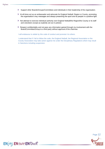ENjoy ENsure ENtrust

- Support other Boards/Groups/Committees and individuals in their leadership of the organisation.
- At all times act as an ambassador and advocate for England Netball, Region or County, promoting the organisation's key messages and always presenting the sport and its people in a positive light.
- Not attempt to exercise individual authority over England Netball/the Region/the County or its staff and volunteers except as explicitly set out in policies
- Respect confidentiality and not pass any information gained through my involvement with the Board/Committee/Group to a third party without approval of the chairman.

I will endeavour to abide by this code of conduct and promote it to others.

I understand that if I fail to follow the code, the England Netball, the Regional Association or the County Association may take action against me under the Disciplinary Regulations which may result in Sanctions including suspension.